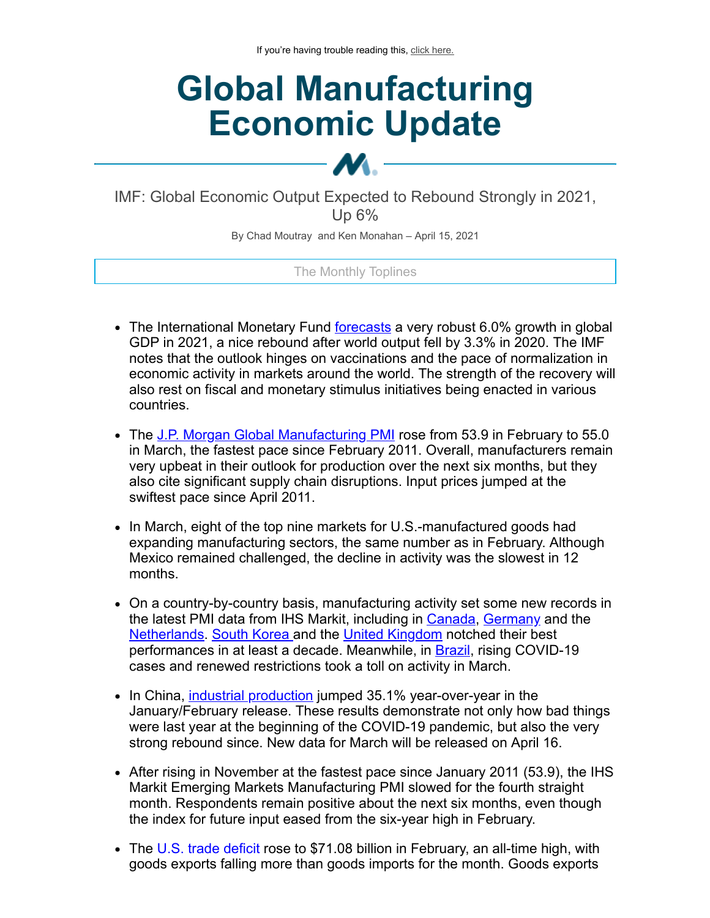# **Global Manufacturing Economic Update**

IMF: Global Economic Output Expected to Rebound Strongly in 2021, Up 6%

M.

By Chad Moutray and Ken Monahan – April 15, 2021

#### The Monthly Toplines

- The International Monetary Fund [forecasts](https://click.email.nam.org/?qs=c6ae7ef323215bbdb910134ccc283278c361005f0b3f3f3e03e9ff198fb3df0118d32105ef3e9e69bf1101024f05535075ab95346a1458b7) a very robust 6.0% growth in global GDP in 2021, a nice rebound after world output fell by 3.3% in 2020. The IMF notes that the outlook hinges on vaccinations and the pace of normalization in economic activity in markets around the world. The strength of the recovery will also rest on fiscal and monetary stimulus initiatives being enacted in various countries.
- The [J.P. Morgan Global Manufacturing PMI](https://click.email.nam.org/?qs=c6ae7ef323215bbdb21b4a4fa1f35cdb66af8dd61c57ed9f056818f72ed82587fcb015226e5df35667edf8f79dfdd72d3656ea35e163b0e3) rose from 53.9 in February to 55.0 in March, the fastest pace since February 2011. Overall, manufacturers remain very upbeat in their outlook for production over the next six months, but they also cite significant supply chain disruptions. Input prices jumped at the swiftest pace since April 2011.
- In March, eight of the top nine markets for U.S.-manufactured goods had expanding manufacturing sectors, the same number as in February. Although Mexico remained challenged, the decline in activity was the slowest in 12 months.
- On a country-by-country basis, manufacturing activity set some new records in the latest PMI data from IHS Markit, including in [Canada](https://click.email.nam.org/?qs=c6ae7ef323215bbd9c5ea95486a7e98174e53f8812463c7f89866a3500d1bd0f9b3f3d6a4b1d8cc56534e8a898328cd0a308e18e5226ca63), [Germany](https://click.email.nam.org/?qs=c6ae7ef323215bbd072f993c981fbd08b4db91991d7795939de25e565849ea3bb09d88c544570aad635c9dcae84ebe3bf3c67564efa14568) and the [Netherlands](https://click.email.nam.org/?qs=c6ae7ef323215bbda6abb43f32752e8e5eb8e87ee98c0388c2dd059fc19151c300058e676db397d05242ad3e4e2da1abb76f06ea50f49f6a). [South Korea a](https://click.email.nam.org/?qs=c6ae7ef323215bbd9dbc701dc675b89ac3d2902b1f6d09f77235c06ed0b02b6de2fa6d29b1fe20d52b2bccee95fe70631dee6f32673949f6)nd the [United Kingdom](https://click.email.nam.org/?qs=c6ae7ef323215bbda96450046a0c69f1ed633a293e991ae162fe0be740abdd8697025c701290bcbe51c54e3676c0bfba6dc8e33ccc27b073) notched their best performances in at least a decade. Meanwhile, in [Brazil,](https://click.email.nam.org/?qs=c6ae7ef323215bbd81196d056124c9be9672389ac4412b451cb109b8dd75c58f5f3dadaea0a580fcb0844bfe435d00e3579781534000d986) rising COVID-19 cases and renewed restrictions took a toll on activity in March.
- In China, [industrial production](https://click.email.nam.org/?qs=c6ae7ef323215bbd798f76671cf4bf1b35d8f7d64c2adc8c63e6bf1f9f7a11632b07ae8be4bf862a18a441e2326d2658ced7e85c3d58303a) jumped 35.1% year-over-year in the January/February release. These results demonstrate not only how bad things were last year at the beginning of the COVID-19 pandemic, but also the very strong rebound since. New data for March will be released on April 16.
- After rising in November at the fastest pace since January 2011 (53.9), the IHS Markit Emerging Markets Manufacturing PMI slowed for the fourth straight month. Respondents remain positive about the next six months, even though the index for future input eased from the six-year high in February.
- The [U.S. trade deficit](https://click.email.nam.org/?qs=c6ae7ef323215bbd2ce60fb769c93d944830874ef60860c6b83b3593c0ac1e25c5cdfe1bbbef8438bb538ef737fcdf398f543270a1ad2da5) rose to \$71.08 billion in February, an all-time high, with goods exports falling more than goods imports for the month. Goods exports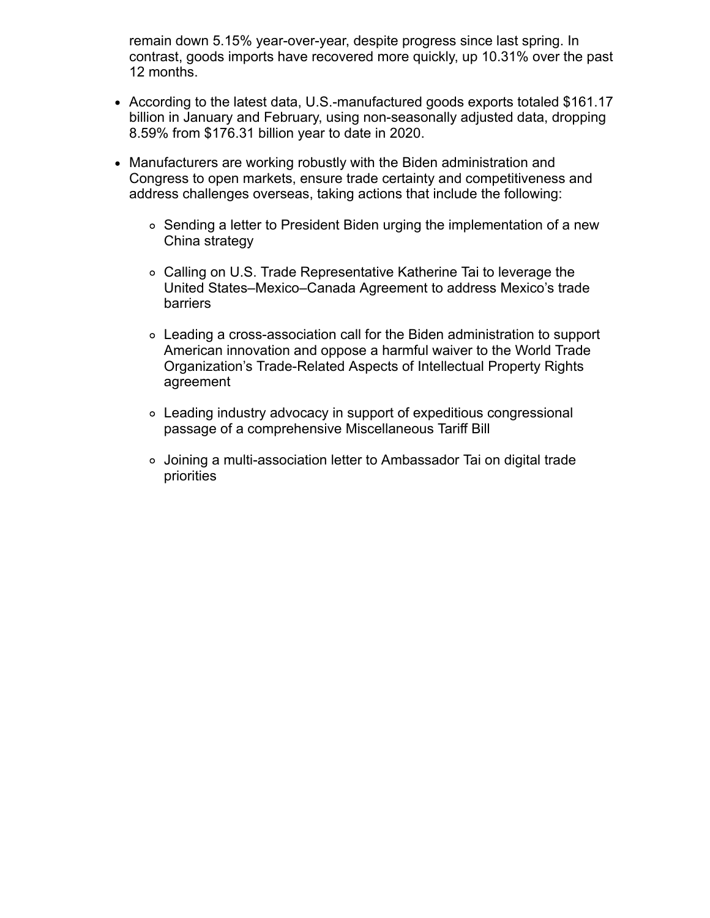remain down 5.15% year-over-year, despite progress since last spring. In contrast, goods imports have recovered more quickly, up 10.31% over the past 12 months.

- According to the latest data, U.S.-manufactured goods exports totaled \$161.17 billion in January and February, using non-seasonally adjusted data, dropping 8.59% from \$176.31 billion year to date in 2020.
- Manufacturers are working robustly with the Biden administration and Congress to open markets, ensure trade certainty and competitiveness and address challenges overseas, taking actions that include the following:
	- $\circ$  Sending a letter to President Biden urging the implementation of a new China strategy
	- Calling on U.S. Trade Representative Katherine Tai to leverage the United States–Mexico–Canada Agreement to address Mexico's trade barriers
	- Leading a cross-association call for the Biden administration to support American innovation and oppose a harmful waiver to the World Trade Organization's Trade-Related Aspects of Intellectual Property Rights agreement
	- Leading industry advocacy in support of expeditious congressional passage of a comprehensive Miscellaneous Tariff Bill
	- Joining a multi-association letter to Ambassador Tai on digital trade priorities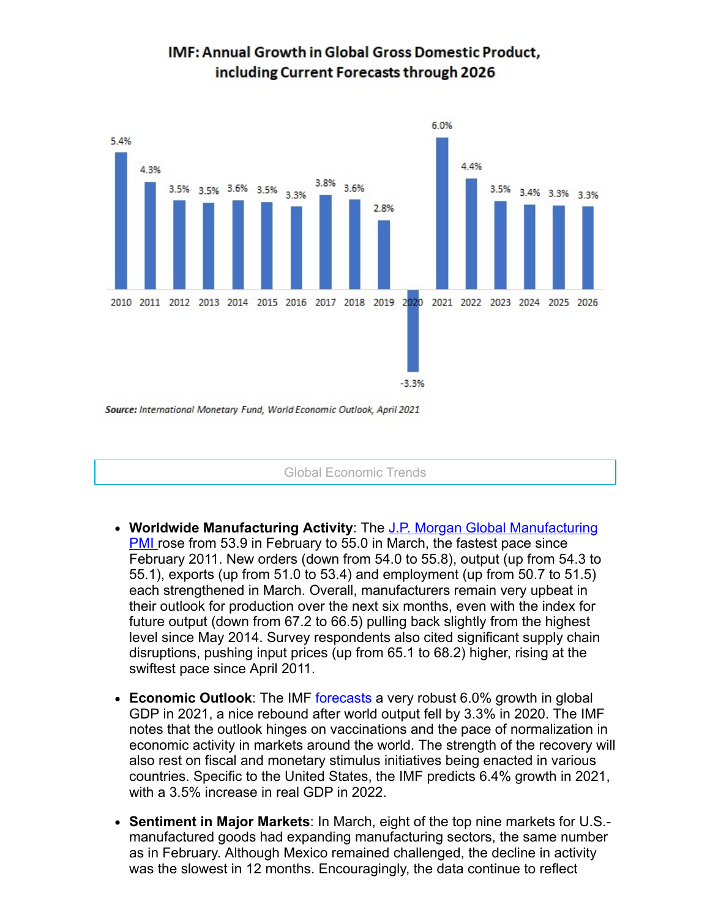

## **IMF: Annual Growth in Global Gross Domestic Product.** including Current Forecasts through 2026

Global Economic Trends

- **Worldwide Manufacturing Activity**: The J.P. Morgan Global Manufacturing **PMI** rose from 53.9 in February to 55.0 in March, the fastest pace since February 2011. New orders (down from 54.0 to 55.8), output (up from 54.3 to 55.1), exports (up from 51.0 to 53.4) and employment (up from 50.7 to 51.5) each strengthened in March. Overall, manufacturers remain very upbeat in their outlook for production over the next six months, even with the index for future output (down from 67.2 to 66.5) pulling back slightly from the highest level since May 2014. Survey respondents also cited significant supply chain disruptions, pushing input prices (up from 65.1 to 68.2) higher, rising at the swiftest pace since April 2011.
- **Economic Outlook**: The IMF [forecasts](https://click.email.nam.org/?qs=c6ae7ef323215bbdb910134ccc283278c361005f0b3f3f3e03e9ff198fb3df0118d32105ef3e9e69bf1101024f05535075ab95346a1458b7) a very robust 6.0% growth in global GDP in 2021, a nice rebound after world output fell by 3.3% in 2020. The IMF notes that the outlook hinges on vaccinations and the pace of normalization in economic activity in markets around the world. The strength of the recovery will also rest on fiscal and monetary stimulus initiatives being enacted in various countries. Specific to the United States, the IMF predicts 6.4% growth in 2021, with a 3.5% increase in real GDP in 2022.
- **Sentiment in Major Markets**: In March, eight of the top nine markets for U.S. manufactured goods had expanding manufacturing sectors, the same number as in February. Although Mexico remained challenged, the decline in activity was the slowest in 12 months. Encouragingly, the data continue to reflect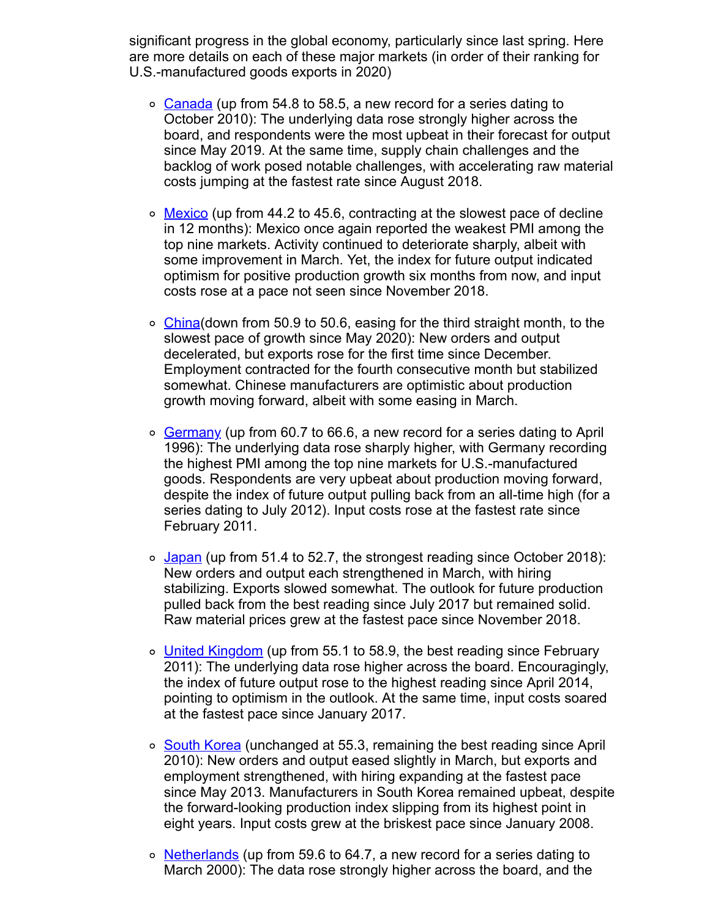significant progress in the global economy, particularly since last spring. Here are more details on each of these major markets (in order of their ranking for U.S.-manufactured goods exports in 2020)

- [Canada](https://click.email.nam.org/?qs=c6ae7ef323215bbd9c5ea95486a7e98174e53f8812463c7f89866a3500d1bd0f9b3f3d6a4b1d8cc56534e8a898328cd0a308e18e5226ca63) (up from 54.8 to 58.5, a new record for a series dating to October 2010): The underlying data rose strongly higher across the board, and respondents were the most upbeat in their forecast for output since May 2019. At the same time, supply chain challenges and the backlog of work posed notable challenges, with accelerating raw material costs jumping at the fastest rate since August 2018.
- $\circ$  [Mexico](https://click.email.nam.org/?qs=c6ae7ef323215bbd1771864a7b10879f414fb01a4175d5e7223492f452541b31e73fd0df779348489f43dd97740c0cf5bfffe3e1df3b9df3) (up from 44.2 to 45.6, contracting at the slowest pace of decline in 12 months): Mexico once again reported the weakest PMI among the top nine markets. Activity continued to deteriorate sharply, albeit with some improvement in March. Yet, the index for future output indicated optimism for positive production growth six months from now, and input costs rose at a pace not seen since November 2018.
- $\circ$  [China\(](https://click.email.nam.org/?qs=c6ae7ef323215bbd1d5a256b43dd284c4dc8d2985f9dff3c383b341718f7a625f40b8e1f49e383a0062c0c9ebfc4d60ed1e7761278e8abc0)down from 50.9 to 50.6, easing for the third straight month, to the slowest pace of growth since May 2020): New orders and output decelerated, but exports rose for the first time since December. Employment contracted for the fourth consecutive month but stabilized somewhat. Chinese manufacturers are optimistic about production growth moving forward, albeit with some easing in March.
- $\circ$  [Germany](https://click.email.nam.org/?qs=c6ae7ef323215bbd072f993c981fbd08b4db91991d7795939de25e565849ea3bb09d88c544570aad635c9dcae84ebe3bf3c67564efa14568) (up from 60.7 to 66.6, a new record for a series dating to April 1996): The underlying data rose sharply higher, with Germany recording the highest PMI among the top nine markets for U.S.-manufactured goods. Respondents are very upbeat about production moving forward, despite the index of future output pulling back from an all-time high (for a series dating to July 2012). Input costs rose at the fastest rate since February 2011.
- $\circ$  [Japan](https://click.email.nam.org/?qs=c6ae7ef323215bbdc902cea6310368d1cfc1240f83b69f210a9eff1ac0362dab041aeb8022579577b66244237d17281ab0d1b843ac85c3cf) (up from 51.4 to 52.7, the strongest reading since October 2018): New orders and output each strengthened in March, with hiring stabilizing. Exports slowed somewhat. The outlook for future production pulled back from the best reading since July 2017 but remained solid. Raw material prices grew at the fastest pace since November 2018.
- o [United Kingdom](https://click.email.nam.org/?qs=c6ae7ef323215bbda96450046a0c69f1ed633a293e991ae162fe0be740abdd8697025c701290bcbe51c54e3676c0bfba6dc8e33ccc27b073) (up from 55.1 to 58.9, the best reading since February 2011): The underlying data rose higher across the board. Encouragingly, the index of future output rose to the highest reading since April 2014, pointing to optimism in the outlook. At the same time, input costs soared at the fastest pace since January 2017.
- o [South Korea](https://click.email.nam.org/?qs=c6ae7ef323215bbd9dbc701dc675b89ac3d2902b1f6d09f77235c06ed0b02b6de2fa6d29b1fe20d52b2bccee95fe70631dee6f32673949f6) (unchanged at 55.3, remaining the best reading since April 2010): New orders and output eased slightly in March, but exports and employment strengthened, with hiring expanding at the fastest pace since May 2013. Manufacturers in South Korea remained upbeat, despite the forward-looking production index slipping from its highest point in eight years. Input costs grew at the briskest pace since January 2008.
- $\circ$  [Netherlands](https://click.email.nam.org/?qs=c6ae7ef323215bbda6abb43f32752e8e5eb8e87ee98c0388c2dd059fc19151c300058e676db397d05242ad3e4e2da1abb76f06ea50f49f6a) (up from 59.6 to 64.7, a new record for a series dating to March 2000): The data rose strongly higher across the board, and the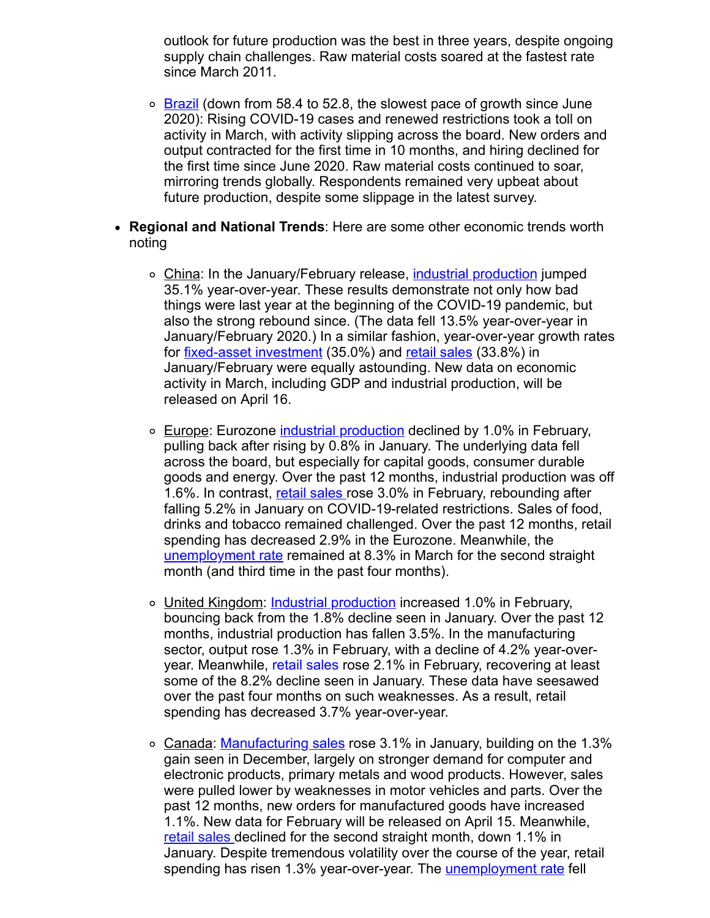outlook for future production was the best in three years, despite ongoing supply chain challenges. Raw material costs soared at the fastest rate since March 2011.

- $\circ$  [Brazil](https://click.email.nam.org/?qs=c6ae7ef323215bbd81196d056124c9be9672389ac4412b451cb109b8dd75c58f5f3dadaea0a580fcb0844bfe435d00e3579781534000d986) (down from 58.4 to 52.8, the slowest pace of growth since June 2020): Rising COVID-19 cases and renewed restrictions took a toll on activity in March, with activity slipping across the board. New orders and output contracted for the first time in 10 months, and hiring declined for the first time since June 2020. Raw material costs continued to soar, mirroring trends globally. Respondents remained very upbeat about future production, despite some slippage in the latest survey.
- **Regional and National Trends**: Here are some other economic trends worth noting
	- o China: In the January/February release, [industrial production](https://click.email.nam.org/?qs=c6ae7ef323215bbd798f76671cf4bf1b35d8f7d64c2adc8c63e6bf1f9f7a11632b07ae8be4bf862a18a441e2326d2658ced7e85c3d58303a) jumped 35.1% year-over-year. These results demonstrate not only how bad things were last year at the beginning of the COVID-19 pandemic, but also the strong rebound since. (The data fell 13.5% year-over-year in January/February 2020.) In a similar fashion, year-over-year growth rates for <u>[fixed-asset investment](https://click.email.nam.org/?qs=c6ae7ef323215bbd51e3d04f4f31e9082b022f3fb2670c9e69ab8f8eca3f3d0cd177e569b8d2c4a9d6489485c2fec72fd26b9a6c3529b94a)</u> (35.0%) and [retail sales](https://click.email.nam.org/?qs=c6ae7ef323215bbd5183ce0e697cdab35629d5600c2b6643e2f87483eeae3a1d5445a9a4e1986d3742894fe91d765ef11df4cf07c2ecdde8) (33.8%) in January/February were equally astounding. New data on economic activity in March, including GDP and industrial production, will be released on April 16.
	- Europe: Eurozone [industrial production](https://click.email.nam.org/?qs=c6ae7ef323215bbd65613f50336afd51c9dc38e9deebfd279e00255f87ab7b054ae5babc45f982685cac14616c0b6d4470ea416e95960438) declined by 1.0% in February, pulling back after rising by 0.8% in January. The underlying data fell across the board, but especially for capital goods, consumer durable goods and energy. Over the past 12 months, industrial production was off 1.6%. In contrast, [retail sales r](https://click.email.nam.org/?qs=c6ae7ef323215bbd8d2aecff98aa4e78a59bd2020709b5ccc7dc2cf022e6a9e74901e0ff7799a6ff2139129f2a4c6cc93a57904eb605ab0d)ose 3.0% in February, rebounding after falling 5.2% in January on COVID-19-related restrictions. Sales of food, drinks and tobacco remained challenged. Over the past 12 months, retail spending has decreased 2.9% in the Eurozone. Meanwhile, the [unemployment rate](https://click.email.nam.org/?qs=c6ae7ef323215bbda1c7f9a68deaabeab745e6fbf79972a5297adc0d43a4fdfe2ca866960bb6f293e9ed8ef0d4ff010201834ca61b78b619) remained at 8.3% in March for the second straight month (and third time in the past four months).
	- United Kingdom: [Industrial production](https://click.email.nam.org/?qs=c6ae7ef323215bbd7bf469309db7c990f94f9279a67454ba6c94736aa8874606687d54542cbafad4286878e6c441849a083bc70e29f855dc) increased 1.0% in February, bouncing back from the 1.8% decline seen in January. Over the past 12 months, industrial production has fallen 3.5%. In the manufacturing sector, output rose 1.3% in February, with a decline of 4.2% year-overyear. Meanwhile, [retail sales](https://click.email.nam.org/?qs=c6ae7ef323215bbd6348e666906619d5026040a57a2cf3184fd28dd3b0bac783187486281458e5e063b02e36106ccc7fe0909fc79c4034dc) rose 2.1% in February, recovering at least some of the 8.2% decline seen in January. These data have seesawed over the past four months on such weaknesses. As a result, retail spending has decreased 3.7% year-over-year.
	- Canada: [Manufacturing sales](https://click.email.nam.org/?qs=c6ae7ef323215bbd16cd66bfe5c6e41979eee47495df65a1dbaec0e13f301ec9ae0d6afa9e4cd44beb54ba1caa203040a6272670a0e7f828) rose 3.1% in January, building on the 1.3% gain seen in December, largely on stronger demand for computer and electronic products, primary metals and wood products. However, sales were pulled lower by weaknesses in motor vehicles and parts. Over the past 12 months, new orders for manufactured goods have increased 1.1%. New data for February will be released on April 15. Meanwhile, [retail sales](https://click.email.nam.org/?qs=c6ae7ef323215bbd4a45d90bdb9a0fa275abb4f4672d84838a15bcf0f923646e8fb992f9d1fd22e17ea0901aa63c31fd3813a36459a810fc) declined for the second straight month, down 1.1% in January. Despite tremendous volatility over the course of the year, retail spending has risen 1.3% year-over-year. The **[unemployment rate](https://click.email.nam.org/?qs=c6ae7ef323215bbd9cdef2cf836e70b197565c5b76187c68c7c574f8b35fdfd783501d0f6cb8c11d32881e8d338509a35b323b94e47a880e)** fell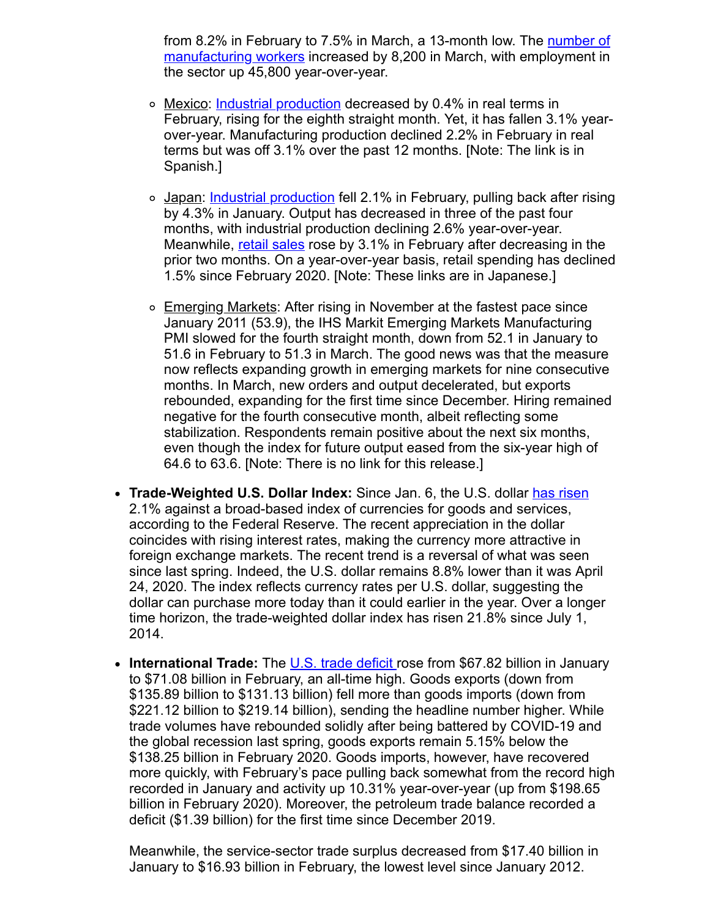[from 8.2% in February to 7.5% in March, a 13-month low. The number of](https://click.email.nam.org/?qs=c6ae7ef323215bbda2c33ac30abb777c4c1b888c240186e8f88b21173b8b1ecfb7a7a4f7fc8693dd2ced1d3cd3244edd8b376949a6052e74) manufacturing workers increased by 8,200 in March, with employment in the sector up 45,800 year-over-year.

- o Mexico: [Industrial production](https://click.email.nam.org/?qs=c6ae7ef323215bbd062013871ffe8840b1fa62a0ea9d05442cc67c3b3e347609a17bf9ab7151962b3c6673a0e69aaa17f2b5791c147cf201) decreased by 0.4% in real terms in February, rising for the eighth straight month. Yet, it has fallen 3.1% yearover-year. Manufacturing production declined 2.2% in February in real terms but was off 3.1% over the past 12 months. [Note: The link is in Spanish.]
- o Japan: [Industrial production](https://click.email.nam.org/?qs=c6ae7ef323215bbd992ea8359b2964d04b750237a605fc5606bf93a196fa44154615443b5be90905b99e64fa730292c6a7365298084a4bb5) fell 2.1% in February, pulling back after rising by 4.3% in January. Output has decreased in three of the past four months, with industrial production declining 2.6% year-over-year. Meanwhile, [retail sales](https://click.email.nam.org/?qs=c6ae7ef323215bbdc4c696c26c130373007ffc13b947ee306f9429e151a30f9caf720a0947196c5fcb66d48d9ea3b8049721bb70d5fff4c5) rose by 3.1% in February after decreasing in the prior two months. On a year-over-year basis, retail spending has declined 1.5% since February 2020. [Note: These links are in Japanese.]
- $\circ$  Emerging Markets: After rising in November at the fastest pace since January 2011 (53.9), the IHS Markit Emerging Markets Manufacturing PMI slowed for the fourth straight month, down from 52.1 in January to 51.6 in February to 51.3 in March. The good news was that the measure now reflects expanding growth in emerging markets for nine consecutive months. In March, new orders and output decelerated, but exports rebounded, expanding for the first time since December. Hiring remained negative for the fourth consecutive month, albeit reflecting some stabilization. Respondents remain positive about the next six months, even though the index for future output eased from the six-year high of 64.6 to 63.6. [Note: There is no link for this release.]
- **Trade-Weighted U.S. Dollar Index:** Since Jan. 6, the U.S. dollar [has risen](https://click.email.nam.org/?qs=c6ae7ef323215bbd8de9cf9b28aea2119cf1e13b6a2968637cf704416ed2cb61b7b16dd1116fbcdb020eea367c8142771e7a8cd0143b7709) 2.1% against a broad-based index of currencies for goods and services, according to the Federal Reserve. The recent appreciation in the dollar coincides with rising interest rates, making the currency more attractive in foreign exchange markets. The recent trend is a reversal of what was seen since last spring. Indeed, the U.S. dollar remains 8.8% lower than it was April 24, 2020. The index reflects currency rates per U.S. dollar, suggesting the dollar can purchase more today than it could earlier in the year. Over a longer time horizon, the trade-weighted dollar index has risen 21.8% since July 1, 2014.
- **International Trade:** The [U.S. trade deficit r](https://click.email.nam.org/?qs=c6ae7ef323215bbd2ce60fb769c93d944830874ef60860c6b83b3593c0ac1e25c5cdfe1bbbef8438bb538ef737fcdf398f543270a1ad2da5)ose from \$67.82 billion in January to \$71.08 billion in February, an all-time high. Goods exports (down from \$135.89 billion to \$131.13 billion) fell more than goods imports (down from \$221.12 billion to \$219.14 billion), sending the headline number higher. While trade volumes have rebounded solidly after being battered by COVID-19 and the global recession last spring, goods exports remain 5.15% below the \$138.25 billion in February 2020. Goods imports, however, have recovered more quickly, with February's pace pulling back somewhat from the record high recorded in January and activity up 10.31% year-over-year (up from \$198.65 billion in February 2020). Moreover, the petroleum trade balance recorded a deficit (\$1.39 billion) for the first time since December 2019.

Meanwhile, the service-sector trade surplus decreased from \$17.40 billion in January to \$16.93 billion in February, the lowest level since January 2012.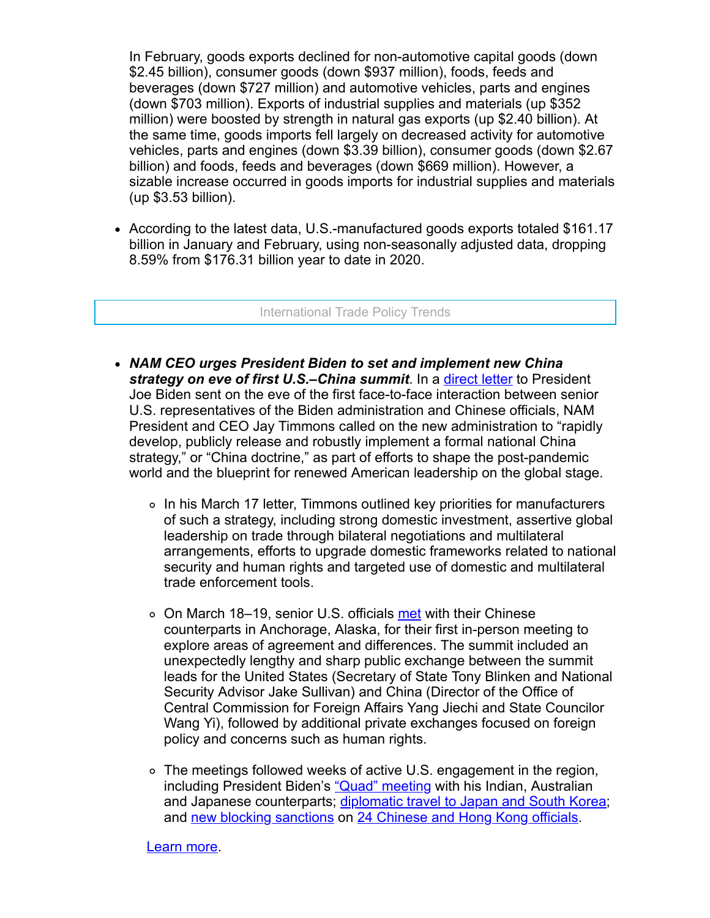In February, goods exports declined for non-automotive capital goods (down \$2.45 billion), consumer goods (down \$937 million), foods, feeds and beverages (down \$727 million) and automotive vehicles, parts and engines (down \$703 million). Exports of industrial supplies and materials (up \$352 million) were boosted by strength in natural gas exports (up \$2.40 billion). At the same time, goods imports fell largely on decreased activity for automotive vehicles, parts and engines (down \$3.39 billion), consumer goods (down \$2.67 billion) and foods, feeds and beverages (down \$669 million). However, a sizable increase occurred in goods imports for industrial supplies and materials (up \$3.53 billion).

• According to the latest data, U.S.-manufactured goods exports totaled \$161.17 billion in January and February, using non-seasonally adjusted data, dropping 8.59% from \$176.31 billion year to date in 2020.

International Trade Policy Trends

- *NAM CEO urges President Biden to set and implement new China strategy on eve of first U.S.–China summit*. In a [direct letter](https://click.email.nam.org/?qs=c6ae7ef323215bbd23fc0351b07ce3ced11eed9bb1adb54c7213b488080ddecd58c30d53f01fb43c6d949d6d189dfadfe2987fb368eed51e) to President Joe Biden sent on the eve of the first face-to-face interaction between senior U.S. representatives of the Biden administration and Chinese officials, NAM President and CEO Jay Timmons called on the new administration to "rapidly develop, publicly release and robustly implement a formal national China strategy," or "China doctrine," as part of efforts to shape the post-pandemic world and the blueprint for renewed American leadership on the global stage.
	- In his March 17 letter, Timmons outlined key priorities for manufacturers of such a strategy, including strong domestic investment, assertive global leadership on trade through bilateral negotiations and multilateral arrangements, efforts to upgrade domestic frameworks related to national security and human rights and targeted use of domestic and multilateral trade enforcement tools.
	- ∘ On March 18–19, senior U.S. officials [met](https://click.email.nam.org/?qs=c6ae7ef323215bbd0587854326e1df14e2aea18938994c2056d597d38210ff242afda45e43b0e7c1793f9b38f4134386a7f29ceb52884a76) with their Chinese counterparts in Anchorage, Alaska, for their first in-person meeting to explore areas of agreement and differences. The summit included an unexpectedly lengthy and sharp public exchange between the summit leads for the United States (Secretary of State Tony Blinken and National Security Advisor Jake Sullivan) and China (Director of the Office of Central Commission for Foreign Affairs Yang Jiechi and State Councilor Wang Yi), followed by additional private exchanges focused on foreign policy and concerns such as human rights.
	- $\circ$  The meetings followed weeks of active U.S. engagement in the region, including President Biden's ["Quad" meeting](https://click.email.nam.org/?qs=c6ae7ef323215bbd211efd4e208445447468f679008b6b9d04fa49fcb0fa9a619cabd03ce60663deb7d340047622cfe290d40b0188222e0b) with his Indian, Australian and Japanese counterparts; [diplomatic travel to Japan and South Korea](https://click.email.nam.org/?qs=c6ae7ef323215bbd7a6c2ea0f9c90a583b0250d4fcc183a17b38060fb56378ce0a78026b48e29e0ef198c3a0d1bfe8fbabf6a16c04484b62); and [new blocking sanctions](https://click.email.nam.org/?qs=c6ae7ef323215bbd9579fb350f967da64e4bfbae43336a4503cc19ffa0f0a52bd95ace2dfa6914365b02513eca64d651864209a16156bd07) on [24 Chinese and Hong Kong officials.](https://click.email.nam.org/?qs=c6ae7ef323215bbdd81b504e733012cca2f26b8b2bf51b2657c7de8eb7a7820dd0163faae12312d9587b8cfa3fdee042ad53cca8c9b365de)

#### Learn more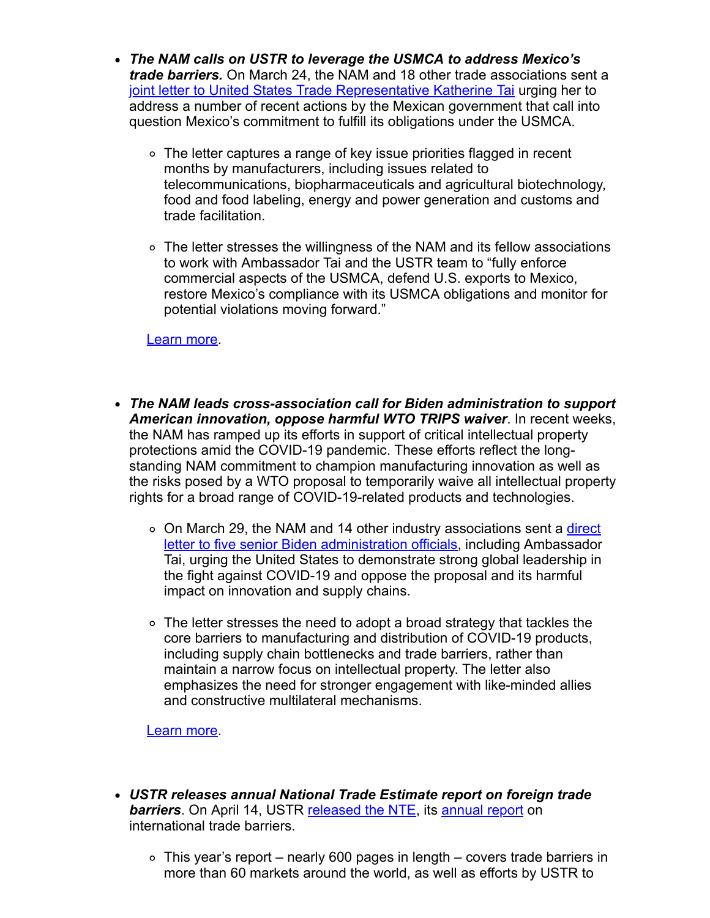- *The NAM calls on USTR to leverage the USMCA to address Mexico's trade barriers.* On March 24, the NAM and 18 other trade associations sent a [joint letter to United States Trade Representative Katherine Tai](https://click.email.nam.org/?qs=c6ae7ef323215bbd48b2348fdca329b24beaf2df1496988dbdd33933a7887197d165f93ed9a1bd543c4511dc3d2070cd4932ff18c5bae3bf) urging her to address a number of recent actions by the Mexican government that call into question Mexico's commitment to fulfill its obligations under the USMCA.
	- The letter captures a range of key issue priorities flagged in recent months by manufacturers, including issues related to telecommunications, biopharmaceuticals and agricultural biotechnology, food and food labeling, energy and power generation and customs and trade facilitation.
	- The letter stresses the willingness of the NAM and its fellow associations to work with Ambassador Tai and the USTR team to "fully enforce commercial aspects of the USMCA, defend U.S. exports to Mexico, restore Mexico's compliance with its USMCA obligations and monitor for potential violations moving forward."

[Learn more.](mailto:rong@nam.org;%20knonahan@nam.org?subject=Mexico%20Letter%20to%20USTR)

- *The NAM leads cross-association call for Biden administration to support American innovation, oppose harmful WTO TRIPS waiver*. In recent weeks, the NAM has ramped up its efforts in support of critical intellectual property protections amid the COVID-19 pandemic. These efforts reflect the longstanding NAM commitment to champion manufacturing innovation as well as the risks posed by a WTO proposal to temporarily waive all intellectual property rights for a broad range of COVID-19-related products and technologies.
	- o On March 29, the NAM and 14 other industry associations sent a *direct* letter to five senior Biden administration officials, including Ambassador Tai, urging the United States to demonstrate strong global leadership in the fight against COVID-19 and oppose the proposal and its harmful impact on innovation and supply chains.
	- $\circ$  The letter stresses the need to adopt a broad strategy that tackles the core barriers to manufacturing and distribution of COVID-19 products, including supply chain bottlenecks and trade barriers, rather than maintain a narrow focus on intellectual property. The letter also emphasizes the need for stronger engagement with like-minded allies and constructive multilateral mechanisms.

[Learn more.](mailto:rong@nam.org;%20kmonahan@nam.org?subject=NAM%2FWTO%20Trips%20Waiver%0A)

- *USTR releases annual National Trade Estimate report on foreign trade* **barriers**. On April 14, USTR [released the NTE,](https://click.email.nam.org/?qs=c6ae7ef323215bbd51420b5c517e9ebaf97128d63d6e4a24f8609a12a0e2551e6fc3892fdeaf769ab8cb053b9cf815a12b2bf33f1738d4c4) its [annual report](https://click.email.nam.org/?qs=c6ae7ef323215bbdfc40aa9fb9a6ce17dead993a0edc253cfd155992af0ca762ce0b71c3d171bb0854b99b03c23140f80265b674e896eb41) on international trade barriers.
	- $\circ$  This year's report nearly 600 pages in length covers trade barriers in more than 60 markets around the world, as well as efforts by USTR to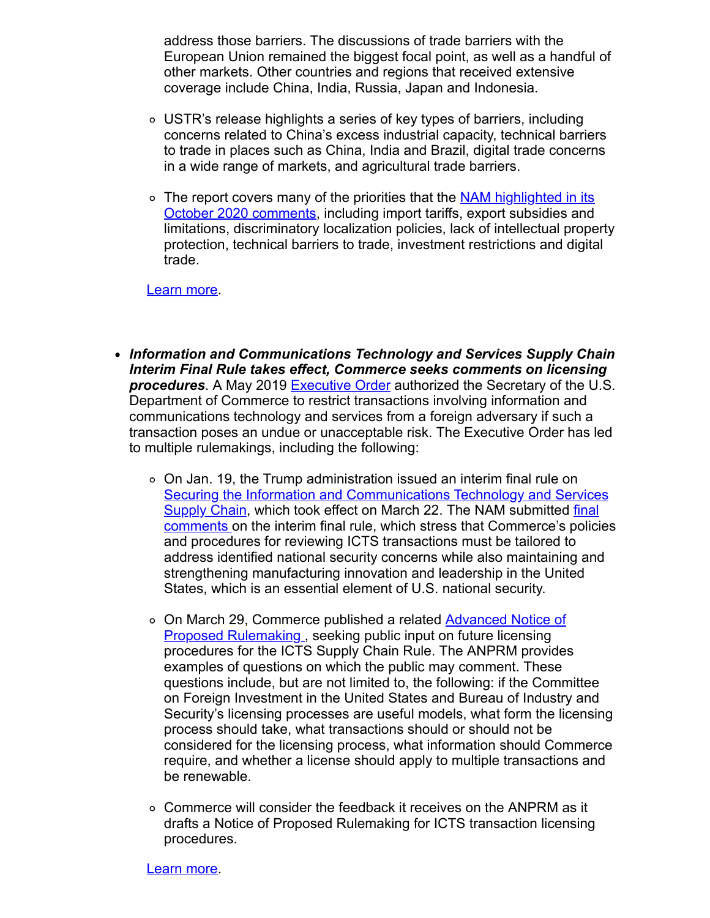address those barriers. The discussions of trade barriers with the European Union remained the biggest focal point, as well as a handful of other markets. Other countries and regions that received extensive coverage include China, India, Russia, Japan and Indonesia.

- USTR's release highlights a series of key types of barriers, including concerns related to China's excess industrial capacity, technical barriers to trade in places such as China, India and Brazil, digital trade concerns in a wide range of markets, and agricultural trade barriers.
- o [The report covers many of the priorities that the NAM highlighted in its](https://click.email.nam.org/?qs=c6ae7ef323215bbd5438bb43ce5eb34e1661fa1bbc22b564f83a231c4ab211b4b3c57c6ba740be7b842f38b8d096df27a95ed5e1663ec834) October 2020 comments, including import tariffs, export subsidies and limitations, discriminatory localization policies, lack of intellectual property protection, technical barriers to trade, investment restrictions and digital trade.

#### Learn more

- *Information and Communications Technology and Services Supply Chain Interim Final Rule takes effect, Commerce seeks comments on licensing* **procedures**. A May 2019 [Executive Order](https://click.email.nam.org/?qs=c6ae7ef323215bbdbac2ab1752e9268c94d7b89debfbe08b5e680ec91313030ea0caabe58ca3708ab4a58d8a004ed87a387a685c0c2d4ea9) authorized the Secretary of the U.S. Department of Commerce to restrict transactions involving information and communications technology and services from a foreign adversary if such a transaction poses an undue or unacceptable risk. The Executive Order has led to multiple rulemakings, including the following:
	- On Jan. 19, the Trump administration issued an interim final rule on [Securing the Information and Communications Technology and Services](https://click.email.nam.org/?qs=c6ae7ef323215bbd58d079652819f4791801e0a96f48b9f0d396024cea2fd9747bfdbe902cdac712d5613a505960f973e7a494a63ea844de) [Supply Chain, which took effect on March 22. The NAM submitted final](https://click.email.nam.org/?qs=c6ae7ef323215bbd36c0f429c0ba9ed6b1871e3f25c6987bd00751282927e0b9d2f8da85f5b78accd45c77b732b54ad38431c12cca6a934b) comments on the interim final rule, which stress that Commerce's policies and procedures for reviewing ICTS transactions must be tailored to address identified national security concerns while also maintaining and strengthening manufacturing innovation and leadership in the United States, which is an essential element of U.S. national security.
	- [On March 29, Commerce published a related Advanced Notice of](https://click.email.nam.org/?qs=c6ae7ef323215bbdcd281314d6670065e7850209ca2b8003a3d2a4d1ad4c749b498d9b55a680728c0e443b2732de6bb80f0ee157d18c2f28) Proposed Rulemaking, seeking public input on future licensing procedures for the ICTS Supply Chain Rule. The ANPRM provides examples of questions on which the public may comment. These questions include, but are not limited to, the following: if the Committee on Foreign Investment in the United States and Bureau of Industry and Security's licensing processes are useful models, what form the licensing process should take, what transactions should or should not be considered for the licensing process, what information should Commerce require, and whether a license should apply to multiple transactions and be renewable.
	- Commerce will consider the feedback it receives on the ANPRM as it drafts a Notice of Proposed Rulemaking for ICTS transaction licensing procedures.

[Learn more.](mailto:aafedt@nam.org?subject=Supply%20Chain%20Interim%20Final%20Rule)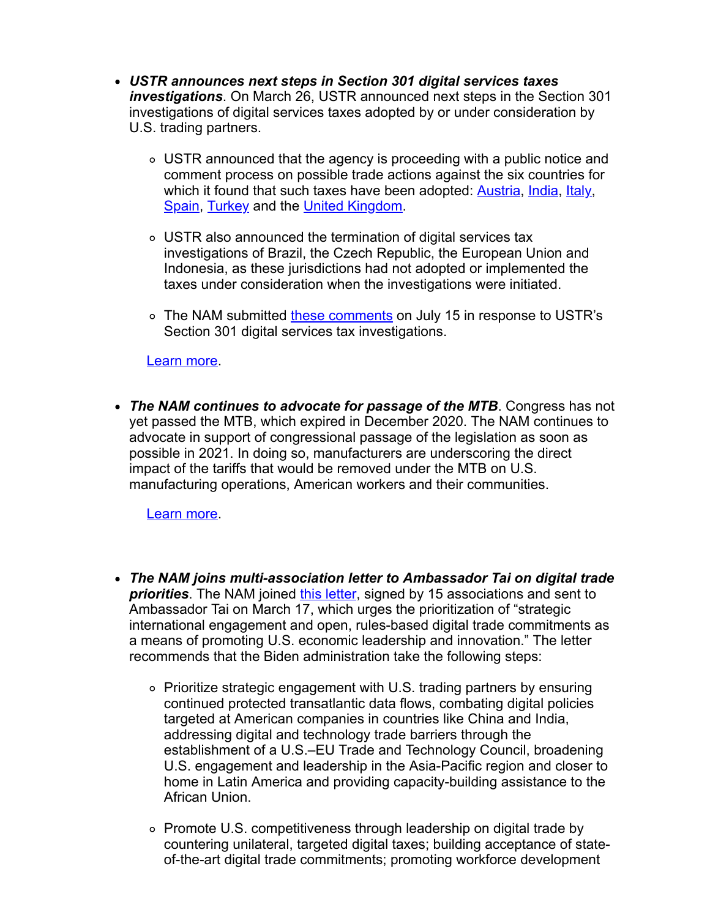- *USTR announces next steps in Section 301 digital services taxes investigations*. On March 26, USTR announced next steps in the Section 301 investigations of digital services taxes adopted by or under consideration by U.S. trading partners.
	- USTR announced that the agency is proceeding with a public notice and comment process on possible trade actions against the six countries for which it found that such taxes have been adopted: **[Austria](https://click.email.nam.org/?qs=c6ae7ef323215bbd5cda2659f96e68edb9a29910cb0856359c9eb5709b196b40825ebba18c3b65a442f230bd046c5b6a5cb932dc3ba5743d)**, *India*, *Italy*, [Spain](https://click.email.nam.org/?qs=c6ae7ef323215bbd9fa7c743d914d8bd66a1750bd8b03c499e6b410a876a786259b89d143d9828f80d69c240da68c81673274f0923bfd475), [Turkey](https://click.email.nam.org/?qs=c6ae7ef323215bbd4793b1f616f2d06240bb7e6946ee4bbc5eb57dc7a923d1bbdfe231f39cf043656bdc82f82d5c6bcac880c1ee5df5f58c) and the [United Kingdom](https://click.email.nam.org/?qs=c6ae7ef323215bbd1909f8160814ec127cd32037eec610ad8df739ae6cc24069280053c2c6f10d4141b0103034c8ef0e4f38beaee637e2f8).
	- USTR also announced the termination of digital services tax investigations of Brazil, the Czech Republic, the European Union and Indonesia, as these jurisdictions had not adopted or implemented the taxes under consideration when the investigations were initiated.
	- o The NAM submitted [these comments](https://click.email.nam.org/?qs=c6ae7ef323215bbd5969f3d6936b34b7d9becb939a109f52bed4972fba6637bbc4cd5b752e450d50ad0d899034701d021ed0d71ce8cd7b43) on July 15 in response to USTR's Section 301 digital services tax investigations.

### Learn more

*The NAM continues to advocate for passage of the MTB*. Congress has not yet passed the MTB, which expired in December 2020. The NAM continues to advocate in support of congressional passage of the legislation as soon as possible in 2021. In doing so, manufacturers are underscoring the direct impact of the tariffs that would be removed under the MTB on U.S. manufacturing operations, American workers and their communities.

Learn more

- *The NAM joins multi-association letter to Ambassador Tai on digital trade priorities*. The NAM joined [this letter](https://click.email.nam.org/?qs=c6ae7ef323215bbde73f2494b7e692e453e099a090332592b2e98cfd829840a8a8e3e10fe02b13bb362dd785f989a27130c9ab9b2fb3cbdc), signed by 15 associations and sent to Ambassador Tai on March 17, which urges the prioritization of "strategic international engagement and open, rules-based digital trade commitments as a means of promoting U.S. economic leadership and innovation." The letter recommends that the Biden administration take the following steps:
	- Prioritize strategic engagement with U.S. trading partners by ensuring continued protected transatlantic data flows, combating digital policies targeted at American companies in countries like China and India, addressing digital and technology trade barriers through the establishment of a U.S.–EU Trade and Technology Council, broadening U.S. engagement and leadership in the Asia-Pacific region and closer to home in Latin America and providing capacity-building assistance to the African Union.
	- Promote U.S. competitiveness through leadership on digital trade by countering unilateral, targeted digital taxes; building acceptance of stateof-the-art digital trade commitments; promoting workforce development